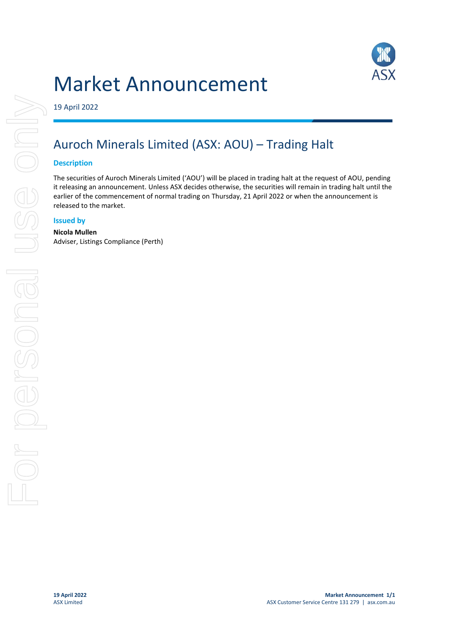# Market Announcement



19 April 2022

## Auroch Minerals Limited (ASX: AOU) – Trading Halt

#### **Description**

The securities of Auroch Minerals Limited ('AOU') will be placed in trading halt at the request of AOU, pending it releasing an announcement. Unless ASX decides otherwise, the securities will remain in trading halt until the earlier of the commencement of normal trading on Thursday, 21 April 2022 or when the announcement is released to the market.

### **Issued by**

#### **Nicola Mullen**

Adviser, Listings Compliance (Perth)